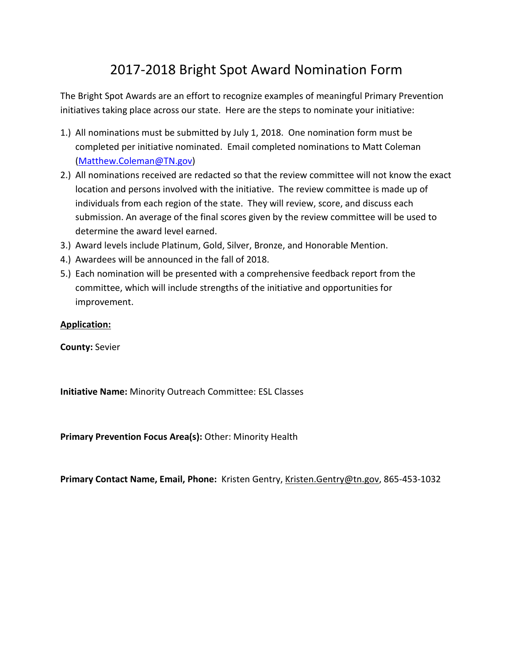# 2017-2018 Bright Spot Award Nomination Form

The Bright Spot Awards are an effort to recognize examples of meaningful Primary Prevention initiatives taking place across our state. Here are the steps to nominate your initiative:

- 1.) All nominations must be submitted by July 1, 2018. One nomination form must be completed per initiative nominated. Email completed nominations to Matt Coleman [\(Matthew.Coleman@TN.gov\)](mailto:Matthew.Coleman@TN.gov)
- 2.) All nominations received are redacted so that the review committee will not know the exact location and persons involved with the initiative. The review committee is made up of individuals from each region of the state. They will review, score, and discuss each submission. An average of the final scores given by the review committee will be used to determine the award level earned.
- 3.) Award levels include Platinum, Gold, Silver, Bronze, and Honorable Mention.
- 4.) Awardees will be announced in the fall of 2018.
- 5.) Each nomination will be presented with a comprehensive feedback report from the committee, which will include strengths of the initiative and opportunities for improvement.

#### **Application:**

**County:** Sevier

**Initiative Name:** Minority Outreach Committee: ESL Classes

**Primary Prevention Focus Area(s):** Other: Minority Health

<span id="page-0-0"></span>**Primary Contact Name, Email, Phone:** Kristen Gentry, [Kristen.Gentry@tn.gov,](mailto:Kristen.Gentry@tn.gov) 865-453-1032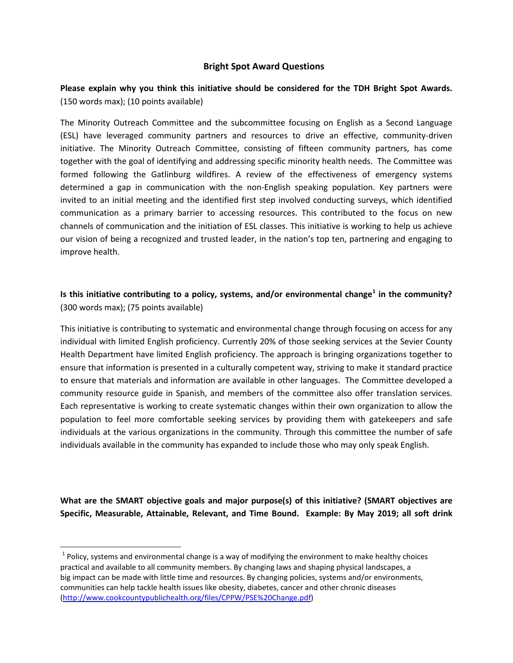#### **Bright Spot Award Questions**

### **Please explain why you think this initiative should be considered for the TDH Bright Spot Awards.** (150 words max); (10 points available)

The Minority Outreach Committee and the subcommittee focusing on English as a Second Language (ESL) have leveraged community partners and resources to drive an effective, community-driven initiative. The Minority Outreach Committee, consisting of fifteen community partners, has come together with the goal of identifying and addressing specific minority health needs. The Committee was formed following the Gatlinburg wildfires. A review of the effectiveness of emergency systems determined a gap in communication with the non-English speaking population. Key partners were invited to an initial meeting and the identified first step involved conducting surveys, which identified communication as a primary barrier to accessing resources. This contributed to the focus on new channels of communication and the initiation of ESL classes. This initiative is working to help us achieve our vision of being a recognized and trusted leader, in the nation's top ten, partnering and engaging to improve health.

## **Is this initiative contributing to a policy, systems, and/or environmental change[1](#page-0-0) in the community?**  (300 words max); (75 points available)

This initiative is contributing to systematic and environmental change through focusing on access for any individual with limited English proficiency. Currently 20% of those seeking services at the Sevier County Health Department have limited English proficiency. The approach is bringing organizations together to ensure that information is presented in a culturally competent way, striving to make it standard practice to ensure that materials and information are available in other languages. The Committee developed a community resource guide in Spanish, and members of the committee also offer translation services. Each representative is working to create systematic changes within their own organization to allow the population to feel more comfortable seeking services by providing them with gatekeepers and safe individuals at the various organizations in the community. Through this committee the number of safe individuals available in the community has expanded to include those who may only speak English.

**What are the SMART objective goals and major purpose(s) of this initiative? (SMART objectives are Specific, Measurable, Attainable, Relevant, and Time Bound. Example: By May 2019; all soft drink** 

 $1$  Policy, systems and environmental change is a way of modifying the environment to make healthy choices practical and available to all community members. By changing laws and shaping physical landscapes, a big impact can be made with little time and resources. By changing policies, systems and/or environments, communities can help tackle health issues like obesity, diabetes, cancer and other chronic diseases [\(http://www.cookcountypublichealth.org/files/CPPW/PSE%20Change.pdf\)](http://www.cookcountypublichealth.org/files/CPPW/PSE%20Change.pdf)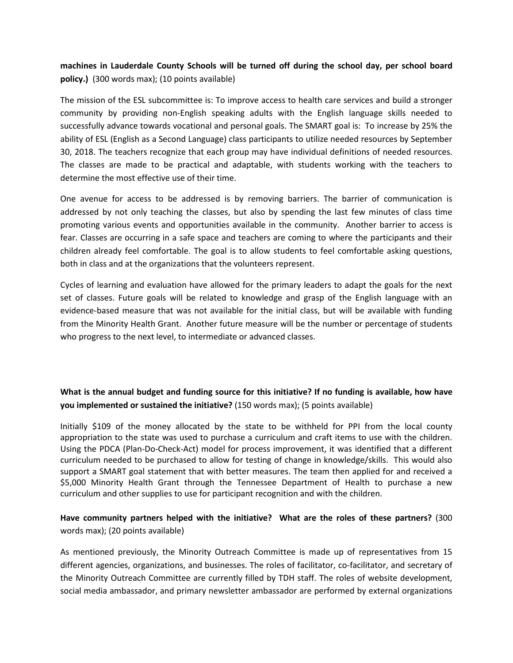**machines in Lauderdale County Schools will be turned off during the school day, per school board policy.)** (300 words max); (10 points available)

The mission of the ESL subcommittee is: To improve access to health care services and build a stronger community by providing non-English speaking adults with the English language skills needed to successfully advance towards vocational and personal goals. The SMART goal is: To increase by 25% the ability of ESL (English as a Second Language) class participants to utilize needed resources by September 30, 2018. The teachers recognize that each group may have individual definitions of needed resources. The classes are made to be practical and adaptable, with students working with the teachers to determine the most effective use of their time.

One avenue for access to be addressed is by removing barriers. The barrier of communication is addressed by not only teaching the classes, but also by spending the last few minutes of class time promoting various events and opportunities available in the community. Another barrier to access is fear. Classes are occurring in a safe space and teachers are coming to where the participants and their children already feel comfortable. The goal is to allow students to feel comfortable asking questions, both in class and at the organizations that the volunteers represent.

Cycles of learning and evaluation have allowed for the primary leaders to adapt the goals for the next set of classes. Future goals will be related to knowledge and grasp of the English language with an evidence-based measure that was not available for the initial class, but will be available with funding from the Minority Health Grant. Another future measure will be the number or percentage of students who progress to the next level, to intermediate or advanced classes.

## **What is the annual budget and funding source for this initiative? If no funding is available, how have you implemented or sustained the initiative?** (150 words max); (5 points available)

Initially \$109 of the money allocated by the state to be withheld for PPI from the local county appropriation to the state was used to purchase a curriculum and craft items to use with the children. Using the PDCA (Plan-Do-Check-Act) model for process improvement, it was identified that a different curriculum needed to be purchased to allow for testing of change in knowledge/skills. This would also support a SMART goal statement that with better measures. The team then applied for and received a \$5,000 Minority Health Grant through the Tennessee Department of Health to purchase a new curriculum and other supplies to use for participant recognition and with the children.

### **Have community partners helped with the initiative? What are the roles of these partners?** (300 words max); (20 points available)

As mentioned previously, the Minority Outreach Committee is made up of representatives from 15 different agencies, organizations, and businesses. The roles of facilitator, co-facilitator, and secretary of the Minority Outreach Committee are currently filled by TDH staff. The roles of website development, social media ambassador, and primary newsletter ambassador are performed by external organizations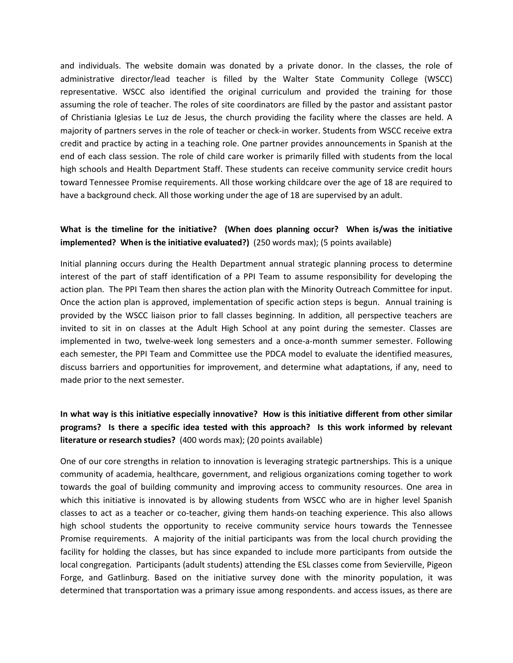and individuals. The website domain was donated by a private donor. In the classes, the role of administrative director/lead teacher is filled by the Walter State Community College (WSCC) representative. WSCC also identified the original curriculum and provided the training for those assuming the role of teacher. The roles of site coordinators are filled by the pastor and assistant pastor of Christiania Iglesias Le Luz de Jesus, the church providing the facility where the classes are held. A majority of partners serves in the role of teacher or check-in worker. Students from WSCC receive extra credit and practice by acting in a teaching role. One partner provides announcements in Spanish at the end of each class session. The role of child care worker is primarily filled with students from the local high schools and Health Department Staff. These students can receive community service credit hours toward Tennessee Promise requirements. All those working childcare over the age of 18 are required to have a background check. All those working under the age of 18 are supervised by an adult.

#### **What is the timeline for the initiative? (When does planning occur? When is/was the initiative implemented? When is the initiative evaluated?)** (250 words max); (5 points available)

Initial planning occurs during the Health Department annual strategic planning process to determine interest of the part of staff identification of a PPI Team to assume responsibility for developing the action plan. The PPI Team then shares the action plan with the Minority Outreach Committee for input. Once the action plan is approved, implementation of specific action steps is begun. Annual training is provided by the WSCC liaison prior to fall classes beginning. In addition, all perspective teachers are invited to sit in on classes at the Adult High School at any point during the semester. Classes are implemented in two, twelve-week long semesters and a once-a-month summer semester. Following each semester, the PPI Team and Committee use the PDCA model to evaluate the identified measures, discuss barriers and opportunities for improvement, and determine what adaptations, if any, need to made prior to the next semester.

## **In what way is this initiative especially innovative? How is this initiative different from other similar programs? Is there a specific idea tested with this approach? Is this work informed by relevant literature or research studies?** (400 words max); (20 points available)

One of our core strengths in relation to innovation is leveraging strategic partnerships. This is a unique community of academia, healthcare, government, and religious organizations coming together to work towards the goal of building community and improving access to community resources. One area in which this initiative is innovated is by allowing students from WSCC who are in higher level Spanish classes to act as a teacher or co-teacher, giving them hands-on teaching experience. This also allows high school students the opportunity to receive community service hours towards the Tennessee Promise requirements. A majority of the initial participants was from the local church providing the facility for holding the classes, but has since expanded to include more participants from outside the local congregation. Participants (adult students) attending the ESL classes come from Sevierville, Pigeon Forge, and Gatlinburg. Based on the initiative survey done with the minority population, it was determined that transportation was a primary issue among respondents. and access issues, as there are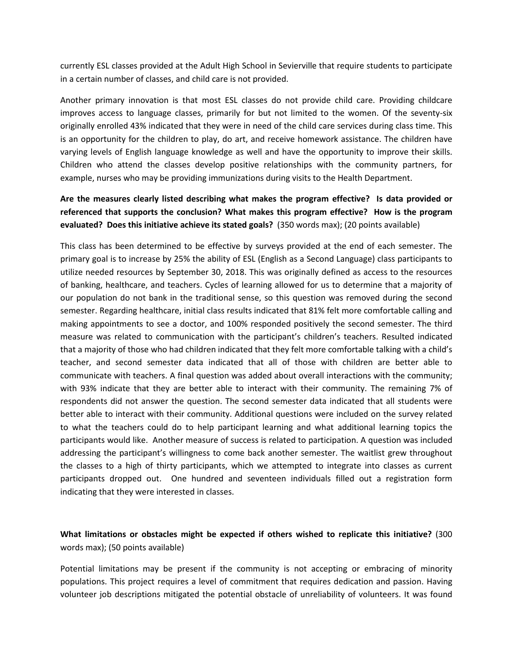currently ESL classes provided at the Adult High School in Sevierville that require students to participate in a certain number of classes, and child care is not provided.

Another primary innovation is that most ESL classes do not provide child care. Providing childcare improves access to language classes, primarily for but not limited to the women. Of the seventy-six originally enrolled 43% indicated that they were in need of the child care services during class time. This is an opportunity for the children to play, do art, and receive homework assistance. The children have varying levels of English language knowledge as well and have the opportunity to improve their skills. Children who attend the classes develop positive relationships with the community partners, for example, nurses who may be providing immunizations during visits to the Health Department.

## **Are the measures clearly listed describing what makes the program effective? Is data provided or referenced that supports the conclusion? What makes this program effective? How is the program evaluated? Does this initiative achieve its stated goals?** (350 words max); (20 points available)

This class has been determined to be effective by surveys provided at the end of each semester. The primary goal is to increase by 25% the ability of ESL (English as a Second Language) class participants to utilize needed resources by September 30, 2018. This was originally defined as access to the resources of banking, healthcare, and teachers. Cycles of learning allowed for us to determine that a majority of our population do not bank in the traditional sense, so this question was removed during the second semester. Regarding healthcare, initial class results indicated that 81% felt more comfortable calling and making appointments to see a doctor, and 100% responded positively the second semester. The third measure was related to communication with the participant's children's teachers. Resulted indicated that a majority of those who had children indicated that they felt more comfortable talking with a child's teacher, and second semester data indicated that all of those with children are better able to communicate with teachers. A final question was added about overall interactions with the community; with 93% indicate that they are better able to interact with their community. The remaining 7% of respondents did not answer the question. The second semester data indicated that all students were better able to interact with their community. Additional questions were included on the survey related to what the teachers could do to help participant learning and what additional learning topics the participants would like. Another measure of success is related to participation. A question was included addressing the participant's willingness to come back another semester. The waitlist grew throughout the classes to a high of thirty participants, which we attempted to integrate into classes as current participants dropped out. One hundred and seventeen individuals filled out a registration form indicating that they were interested in classes.

### **What limitations or obstacles might be expected if others wished to replicate this initiative?** (300 words max); (50 points available)

Potential limitations may be present if the community is not accepting or embracing of minority populations. This project requires a level of commitment that requires dedication and passion. Having volunteer job descriptions mitigated the potential obstacle of unreliability of volunteers. It was found